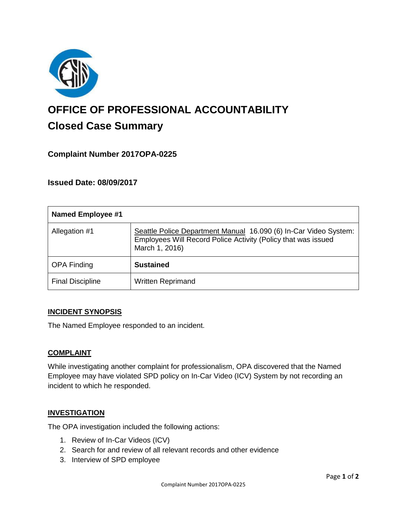

# **OFFICE OF PROFESSIONAL ACCOUNTABILITY Closed Case Summary**

## **Complaint Number 2017OPA-0225**

**Issued Date: 08/09/2017**

| <b>Named Employee #1</b> |                                                                                                                                                     |
|--------------------------|-----------------------------------------------------------------------------------------------------------------------------------------------------|
| Allegation #1            | Seattle Police Department Manual 16.090 (6) In-Car Video System:<br>Employees Will Record Police Activity (Policy that was issued<br>March 1, 2016) |
| <b>OPA Finding</b>       | <b>Sustained</b>                                                                                                                                    |
| <b>Final Discipline</b>  | <b>Written Reprimand</b>                                                                                                                            |

## **INCIDENT SYNOPSIS**

The Named Employee responded to an incident.

## **COMPLAINT**

While investigating another complaint for professionalism, OPA discovered that the Named Employee may have violated SPD policy on In-Car Video (ICV) System by not recording an incident to which he responded.

## **INVESTIGATION**

The OPA investigation included the following actions:

- 1. Review of In-Car Videos (ICV)
- 2. Search for and review of all relevant records and other evidence
- 3. Interview of SPD employee